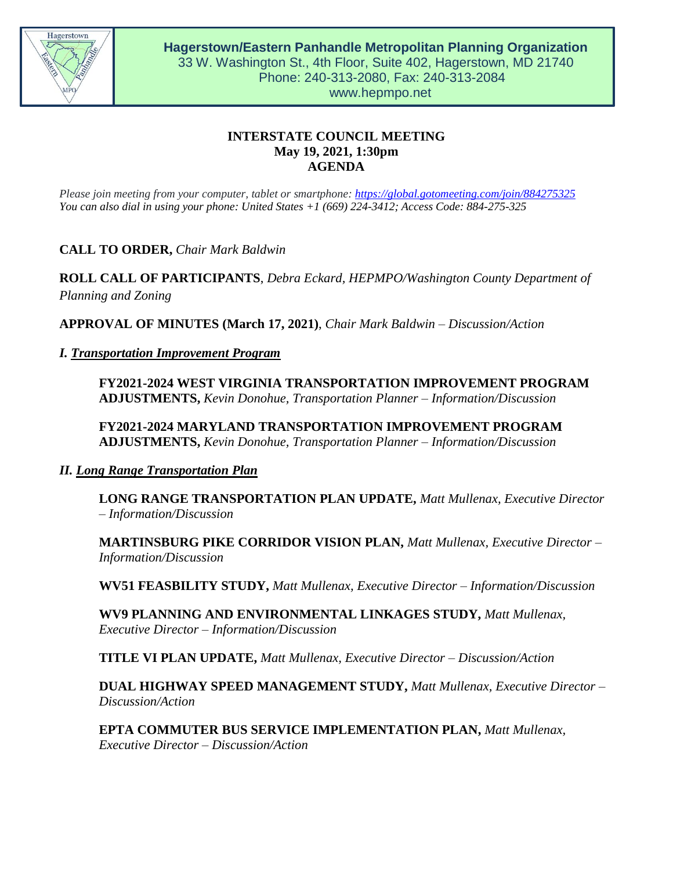

# **INTERSTATE COUNCIL MEETING May 19, 2021, 1:30pm AGENDA**

*Please join meeting from your computer, tablet or smartphone:<https://global.gotomeeting.com/join/884275325> You can also dial in using your phone: United States +1 (669) 224-3412; Access Code: 884-275-325*

**CALL TO ORDER,** *Chair Mark Baldwin*

**ROLL CALL OF PARTICIPANTS**, *Debra Eckard, HEPMPO/Washington County Department of Planning and Zoning*

**APPROVAL OF MINUTES (March 17, 2021)**, *Chair Mark Baldwin – Discussion/Action*

## *I. Transportation Improvement Program*

**FY2021-2024 WEST VIRGINIA TRANSPORTATION IMPROVEMENT PROGRAM ADJUSTMENTS,** *Kevin Donohue, Transportation Planner – Information/Discussion*

**FY2021-2024 MARYLAND TRANSPORTATION IMPROVEMENT PROGRAM ADJUSTMENTS,** *Kevin Donohue, Transportation Planner – Information/Discussion*

## *II. Long Range Transportation Plan*

**LONG RANGE TRANSPORTATION PLAN UPDATE,** *Matt Mullenax, Executive Director – Information/Discussion*

**MARTINSBURG PIKE CORRIDOR VISION PLAN,** *Matt Mullenax, Executive Director – Information/Discussion*

**WV51 FEASBILITY STUDY,** *Matt Mullenax, Executive Director – Information/Discussion*

**WV9 PLANNING AND ENVIRONMENTAL LINKAGES STUDY,** *Matt Mullenax, Executive Director – Information/Discussion*

**TITLE VI PLAN UPDATE,** *Matt Mullenax, Executive Director – Discussion/Action*

**DUAL HIGHWAY SPEED MANAGEMENT STUDY,** *Matt Mullenax, Executive Director – Discussion/Action*

**EPTA COMMUTER BUS SERVICE IMPLEMENTATION PLAN,** *Matt Mullenax, Executive Director – Discussion/Action*